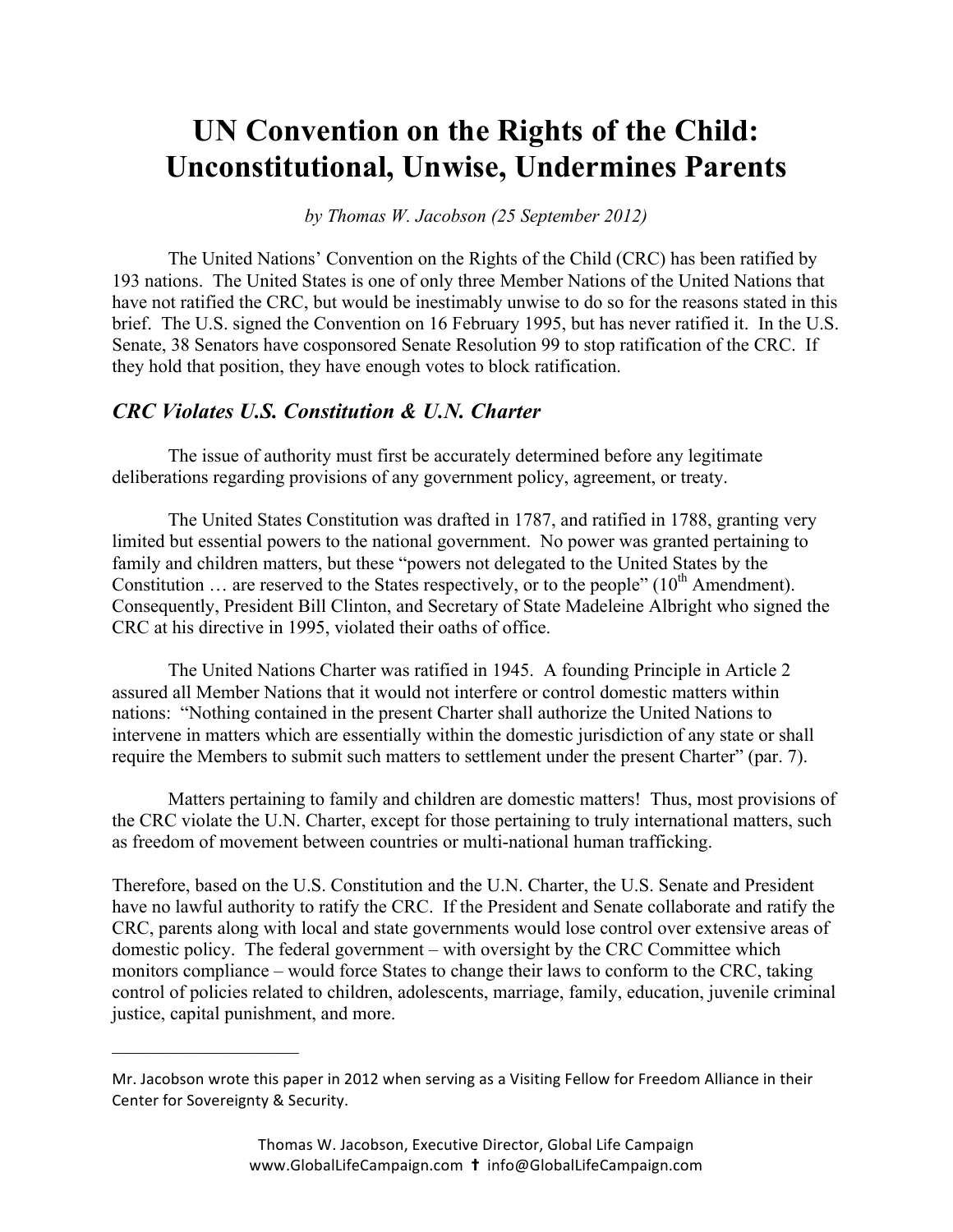# **UN Convention on the Rights of the Child: Unconstitutional, Unwise, Undermines Parents**

*by Thomas W. Jacobson (25 September 2012)*

The United Nations' Convention on the Rights of the Child (CRC) has been ratified by 193 nations. The United States is one of only three Member Nations of the United Nations that have not ratified the CRC, but would be inestimably unwise to do so for the reasons stated in this brief. The U.S. signed the Convention on 16 February 1995, but has never ratified it. In the U.S. Senate, 38 Senators have cosponsored Senate Resolution 99 to stop ratification of the CRC. If they hold that position, they have enough votes to block ratification.

## *CRC Violates U.S. Constitution & U.N. Charter*

 $\mathcal{L}_\text{max}$  , where  $\mathcal{L}_\text{max}$  , we have the set of  $\mathcal{L}_\text{max}$ 

The issue of authority must first be accurately determined before any legitimate deliberations regarding provisions of any government policy, agreement, or treaty.

The United States Constitution was drafted in 1787, and ratified in 1788, granting very limited but essential powers to the national government. No power was granted pertaining to family and children matters, but these "powers not delegated to the United States by the Constitution  $\ldots$  are reserved to the States respectively, or to the people" (10<sup>th</sup> Amendment). Consequently, President Bill Clinton, and Secretary of State Madeleine Albright who signed the CRC at his directive in 1995, violated their oaths of office.

The United Nations Charter was ratified in 1945. A founding Principle in Article 2 assured all Member Nations that it would not interfere or control domestic matters within nations: "Nothing contained in the present Charter shall authorize the United Nations to intervene in matters which are essentially within the domestic jurisdiction of any state or shall require the Members to submit such matters to settlement under the present Charter" (par. 7).

Matters pertaining to family and children are domestic matters! Thus, most provisions of the CRC violate the U.N. Charter, except for those pertaining to truly international matters, such as freedom of movement between countries or multi-national human trafficking.

Therefore, based on the U.S. Constitution and the U.N. Charter, the U.S. Senate and President have no lawful authority to ratify the CRC. If the President and Senate collaborate and ratify the CRC, parents along with local and state governments would lose control over extensive areas of domestic policy. The federal government – with oversight by the CRC Committee which monitors compliance – would force States to change their laws to conform to the CRC, taking control of policies related to children, adolescents, marriage, family, education, juvenile criminal justice, capital punishment, and more.

Mr. Jacobson wrote this paper in 2012 when serving as a Visiting Fellow for Freedom Alliance in their Center for Sovereignty & Security.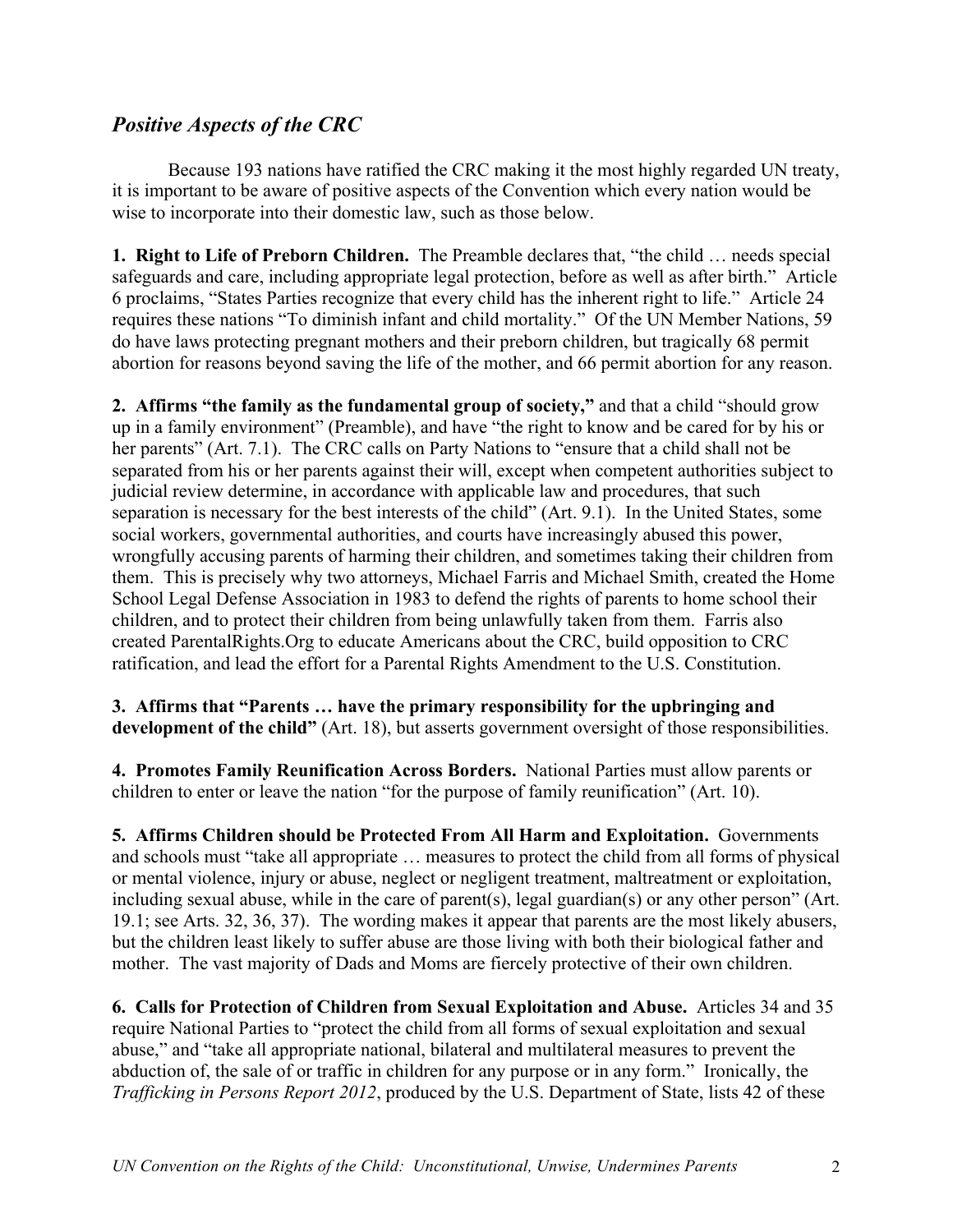# *Positive Aspects of the CRC*

Because 193 nations have ratified the CRC making it the most highly regarded UN treaty, it is important to be aware of positive aspects of the Convention which every nation would be wise to incorporate into their domestic law, such as those below.

**1. Right to Life of Preborn Children.** The Preamble declares that, "the child … needs special safeguards and care, including appropriate legal protection, before as well as after birth." Article 6 proclaims, "States Parties recognize that every child has the inherent right to life." Article 24 requires these nations "To diminish infant and child mortality." Of the UN Member Nations, 59 do have laws protecting pregnant mothers and their preborn children, but tragically 68 permit abortion for reasons beyond saving the life of the mother, and 66 permit abortion for any reason.

**2. Affirms "the family as the fundamental group of society,"** and that a child "should grow up in a family environment" (Preamble), and have "the right to know and be cared for by his or her parents" (Art. 7.1). The CRC calls on Party Nations to "ensure that a child shall not be separated from his or her parents against their will, except when competent authorities subject to judicial review determine, in accordance with applicable law and procedures, that such separation is necessary for the best interests of the child" (Art. 9.1). In the United States, some social workers, governmental authorities, and courts have increasingly abused this power, wrongfully accusing parents of harming their children, and sometimes taking their children from them. This is precisely why two attorneys, Michael Farris and Michael Smith, created the Home School Legal Defense Association in 1983 to defend the rights of parents to home school their children, and to protect their children from being unlawfully taken from them. Farris also created ParentalRights.Org to educate Americans about the CRC, build opposition to CRC ratification, and lead the effort for a Parental Rights Amendment to the U.S. Constitution.

**3. Affirms that "Parents … have the primary responsibility for the upbringing and development of the child"** (Art. 18), but asserts government oversight of those responsibilities.

**4. Promotes Family Reunification Across Borders.** National Parties must allow parents or children to enter or leave the nation "for the purpose of family reunification" (Art. 10).

**5. Affirms Children should be Protected From All Harm and Exploitation.** Governments and schools must "take all appropriate … measures to protect the child from all forms of physical or mental violence, injury or abuse, neglect or negligent treatment, maltreatment or exploitation, including sexual abuse, while in the care of parent(s), legal guardian(s) or any other person" (Art. 19.1; see Arts. 32, 36, 37). The wording makes it appear that parents are the most likely abusers, but the children least likely to suffer abuse are those living with both their biological father and mother. The vast majority of Dads and Moms are fiercely protective of their own children.

**6. Calls for Protection of Children from Sexual Exploitation and Abuse.** Articles 34 and 35 require National Parties to "protect the child from all forms of sexual exploitation and sexual abuse," and "take all appropriate national, bilateral and multilateral measures to prevent the abduction of, the sale of or traffic in children for any purpose or in any form." Ironically, the *Trafficking in Persons Report 2012*, produced by the U.S. Department of State, lists 42 of these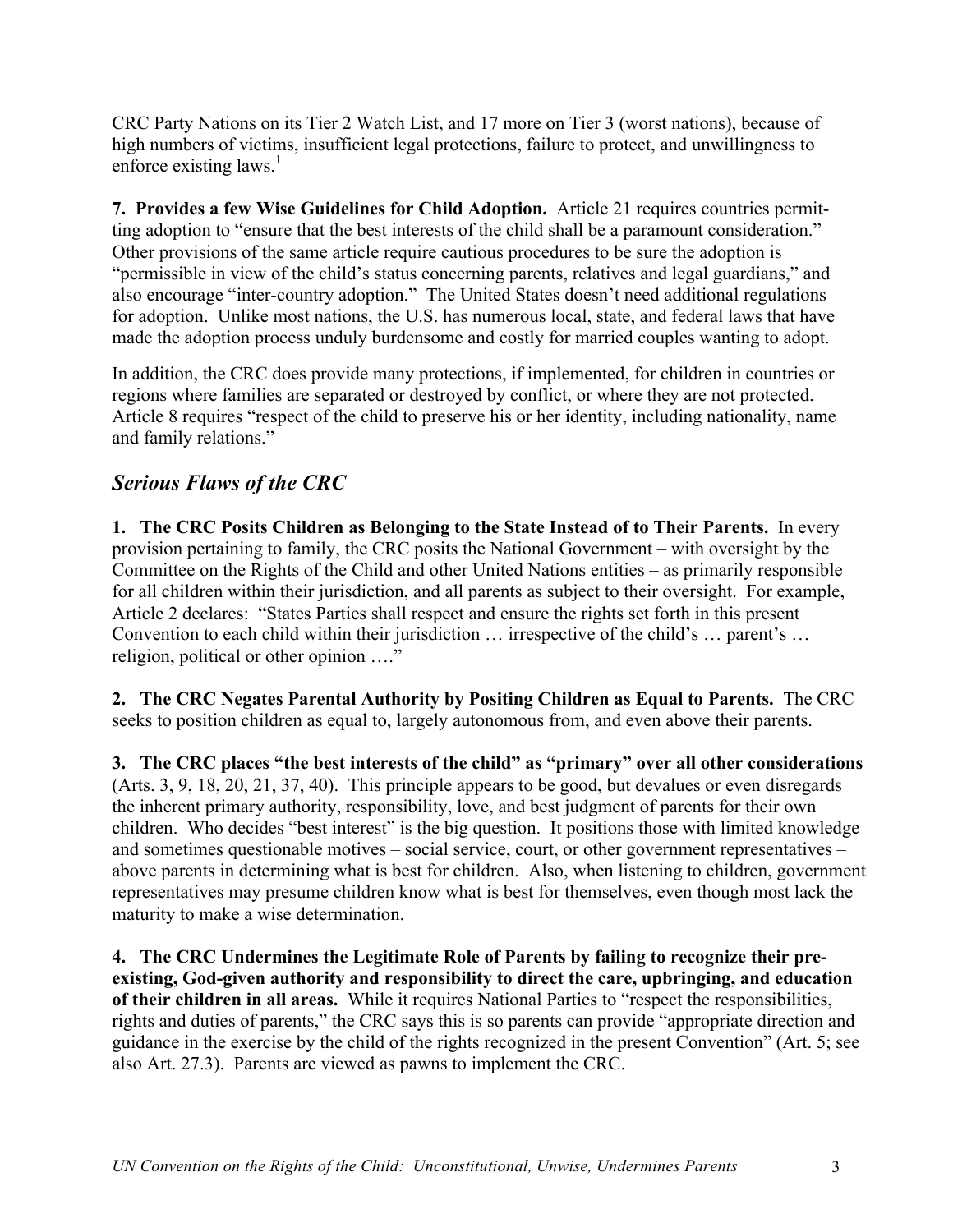CRC Party Nations on its Tier 2 Watch List, and 17 more on Tier 3 (worst nations), because of high numbers of victims, insufficient legal protections, failure to protect, and unwillingness to enforce existing laws.<sup>1</sup>

**7. Provides a few Wise Guidelines for Child Adoption.** Article 21 requires countries permitting adoption to "ensure that the best interests of the child shall be a paramount consideration." Other provisions of the same article require cautious procedures to be sure the adoption is "permissible in view of the child's status concerning parents, relatives and legal guardians," and also encourage "inter-country adoption." The United States doesn't need additional regulations for adoption. Unlike most nations, the U.S. has numerous local, state, and federal laws that have made the adoption process unduly burdensome and costly for married couples wanting to adopt.

In addition, the CRC does provide many protections, if implemented, for children in countries or regions where families are separated or destroyed by conflict, or where they are not protected. Article 8 requires "respect of the child to preserve his or her identity, including nationality, name and family relations."

# *Serious Flaws of the CRC*

**1. The CRC Posits Children as Belonging to the State Instead of to Their Parents.** In every provision pertaining to family, the CRC posits the National Government – with oversight by the Committee on the Rights of the Child and other United Nations entities – as primarily responsible for all children within their jurisdiction, and all parents as subject to their oversight. For example, Article 2 declares: "States Parties shall respect and ensure the rights set forth in this present Convention to each child within their jurisdiction … irrespective of the child's … parent's … religion, political or other opinion …."

**2. The CRC Negates Parental Authority by Positing Children as Equal to Parents.** The CRC seeks to position children as equal to, largely autonomous from, and even above their parents.

**3. The CRC places "the best interests of the child" as "primary" over all other considerations** (Arts. 3, 9, 18, 20, 21, 37, 40). This principle appears to be good, but devalues or even disregards the inherent primary authority, responsibility, love, and best judgment of parents for their own children. Who decides "best interest" is the big question. It positions those with limited knowledge and sometimes questionable motives – social service, court, or other government representatives – above parents in determining what is best for children. Also, when listening to children, government representatives may presume children know what is best for themselves, even though most lack the maturity to make a wise determination.

**4. The CRC Undermines the Legitimate Role of Parents by failing to recognize their preexisting, God-given authority and responsibility to direct the care, upbringing, and education of their children in all areas.** While it requires National Parties to "respect the responsibilities, rights and duties of parents," the CRC says this is so parents can provide "appropriate direction and guidance in the exercise by the child of the rights recognized in the present Convention" (Art. 5; see also Art. 27.3). Parents are viewed as pawns to implement the CRC.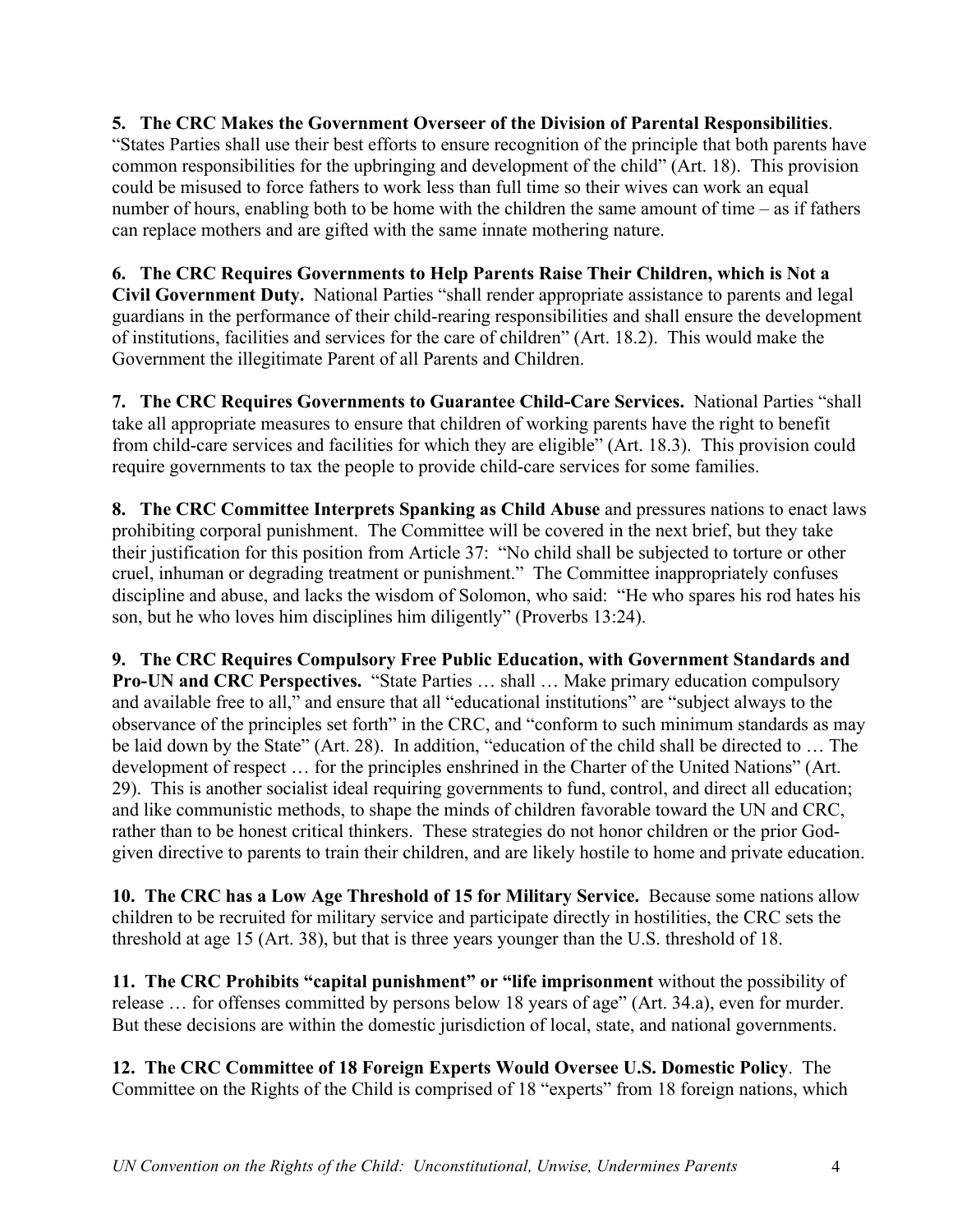#### **5. The CRC Makes the Government Overseer of the Division of Parental Responsibilities**. "States Parties shall use their best efforts to ensure recognition of the principle that both parents have common responsibilities for the upbringing and development of the child" (Art. 18). This provision could be misused to force fathers to work less than full time so their wives can work an equal number of hours, enabling both to be home with the children the same amount of time – as if fathers can replace mothers and are gifted with the same innate mothering nature.

**6. The CRC Requires Governments to Help Parents Raise Their Children, which is Not a Civil Government Duty.** National Parties "shall render appropriate assistance to parents and legal guardians in the performance of their child-rearing responsibilities and shall ensure the development of institutions, facilities and services for the care of children" (Art. 18.2). This would make the Government the illegitimate Parent of all Parents and Children.

**7. The CRC Requires Governments to Guarantee Child-Care Services.** National Parties "shall take all appropriate measures to ensure that children of working parents have the right to benefit from child-care services and facilities for which they are eligible" (Art. 18.3). This provision could require governments to tax the people to provide child-care services for some families.

**8. The CRC Committee Interprets Spanking as Child Abuse** and pressures nations to enact laws prohibiting corporal punishment. The Committee will be covered in the next brief, but they take their justification for this position from Article 37: "No child shall be subjected to torture or other cruel, inhuman or degrading treatment or punishment." The Committee inappropriately confuses discipline and abuse, and lacks the wisdom of Solomon, who said: "He who spares his rod hates his son, but he who loves him disciplines him diligently" (Proverbs 13:24).

**9. The CRC Requires Compulsory Free Public Education, with Government Standards and Pro-UN and CRC Perspectives.** "State Parties … shall … Make primary education compulsory and available free to all," and ensure that all "educational institutions" are "subject always to the observance of the principles set forth" in the CRC, and "conform to such minimum standards as may be laid down by the State" (Art. 28). In addition, "education of the child shall be directed to … The development of respect … for the principles enshrined in the Charter of the United Nations" (Art. 29). This is another socialist ideal requiring governments to fund, control, and direct all education; and like communistic methods, to shape the minds of children favorable toward the UN and CRC, rather than to be honest critical thinkers. These strategies do not honor children or the prior Godgiven directive to parents to train their children, and are likely hostile to home and private education.

**10. The CRC has a Low Age Threshold of 15 for Military Service.** Because some nations allow children to be recruited for military service and participate directly in hostilities, the CRC sets the threshold at age 15 (Art. 38), but that is three years younger than the U.S. threshold of 18.

**11. The CRC Prohibits "capital punishment" or "life imprisonment** without the possibility of release … for offenses committed by persons below 18 years of age" (Art. 34.a), even for murder. But these decisions are within the domestic jurisdiction of local, state, and national governments.

**12. The CRC Committee of 18 Foreign Experts Would Oversee U.S. Domestic Policy**. The Committee on the Rights of the Child is comprised of 18 "experts" from 18 foreign nations, which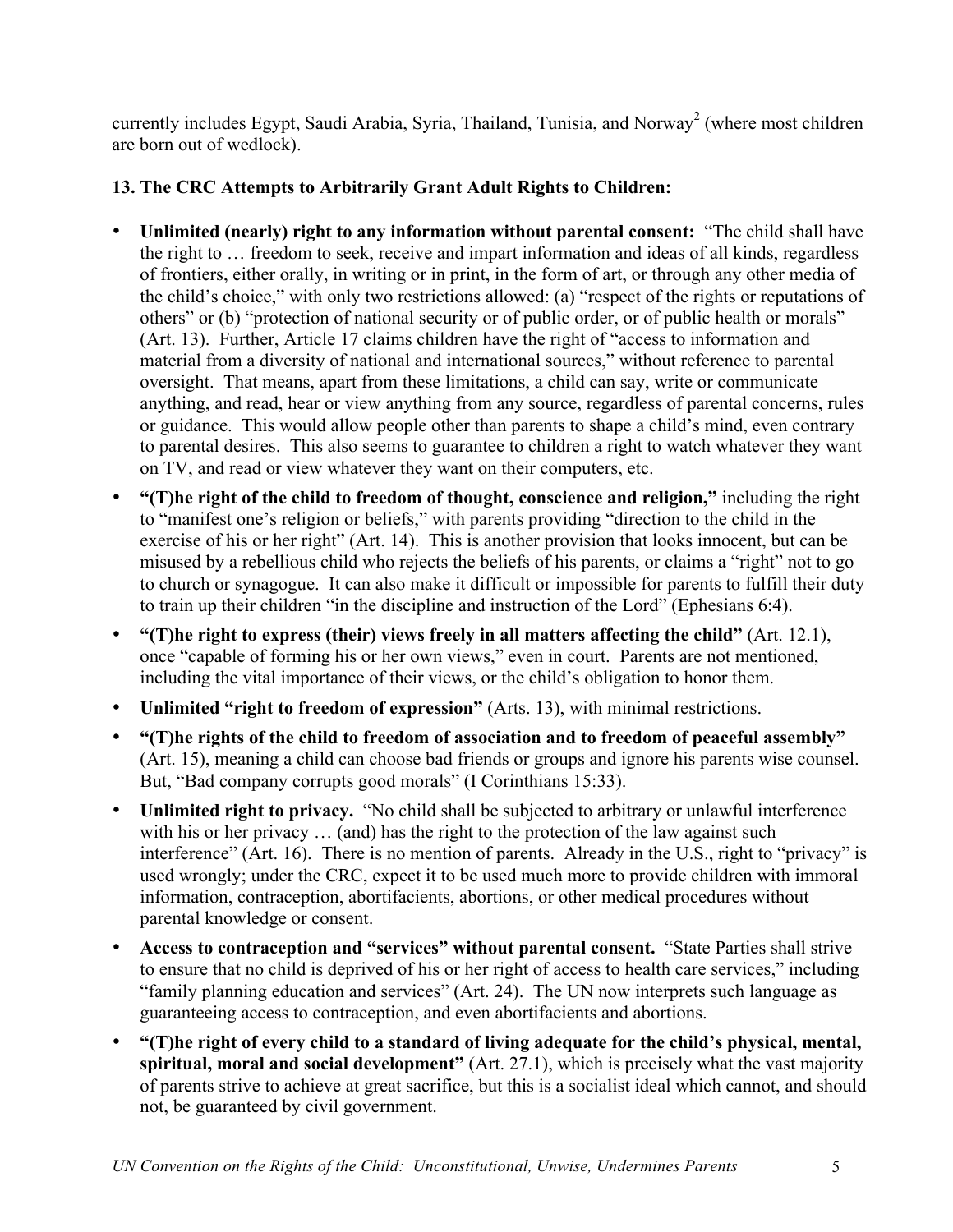currently includes Egypt, Saudi Arabia, Syria, Thailand, Tunisia, and Norway<sup>2</sup> (where most children are born out of wedlock).

## **13. The CRC Attempts to Arbitrarily Grant Adult Rights to Children:**

- **Unlimited (nearly) right to any information without parental consent:** "The child shall have the right to … freedom to seek, receive and impart information and ideas of all kinds, regardless of frontiers, either orally, in writing or in print, in the form of art, or through any other media of the child's choice," with only two restrictions allowed: (a) "respect of the rights or reputations of others" or (b) "protection of national security or of public order, or of public health or morals" (Art. 13). Further, Article 17 claims children have the right of "access to information and material from a diversity of national and international sources," without reference to parental oversight. That means, apart from these limitations, a child can say, write or communicate anything, and read, hear or view anything from any source, regardless of parental concerns, rules or guidance. This would allow people other than parents to shape a child's mind, even contrary to parental desires. This also seems to guarantee to children a right to watch whatever they want on TV, and read or view whatever they want on their computers, etc.
- **"(T)he right of the child to freedom of thought, conscience and religion,"** including the right to "manifest one's religion or beliefs," with parents providing "direction to the child in the exercise of his or her right" (Art. 14). This is another provision that looks innocent, but can be misused by a rebellious child who rejects the beliefs of his parents, or claims a "right" not to go to church or synagogue. It can also make it difficult or impossible for parents to fulfill their duty to train up their children "in the discipline and instruction of the Lord" (Ephesians 6:4).
- **"(T)he right to express (their) views freely in all matters affecting the child"** (Art. 12.1), once "capable of forming his or her own views," even in court. Parents are not mentioned, including the vital importance of their views, or the child's obligation to honor them.
- **Unlimited "right to freedom of expression"** (Arts. 13), with minimal restrictions.
- **"(T)he rights of the child to freedom of association and to freedom of peaceful assembly"** (Art. 15), meaning a child can choose bad friends or groups and ignore his parents wise counsel. But, "Bad company corrupts good morals" (I Corinthians 15:33).
- **Unlimited right to privacy.** "No child shall be subjected to arbitrary or unlawful interference with his or her privacy ... (and) has the right to the protection of the law against such interference" (Art. 16). There is no mention of parents. Already in the U.S., right to "privacy" is used wrongly; under the CRC, expect it to be used much more to provide children with immoral information, contraception, abortifacients, abortions, or other medical procedures without parental knowledge or consent.
- **Access to contraception and "services" without parental consent.** "State Parties shall strive to ensure that no child is deprived of his or her right of access to health care services," including "family planning education and services" (Art. 24). The UN now interprets such language as guaranteeing access to contraception, and even abortifacients and abortions.
- **"(T)he right of every child to a standard of living adequate for the child's physical, mental, spiritual, moral and social development"** (Art. 27.1), which is precisely what the vast majority of parents strive to achieve at great sacrifice, but this is a socialist ideal which cannot, and should not, be guaranteed by civil government.